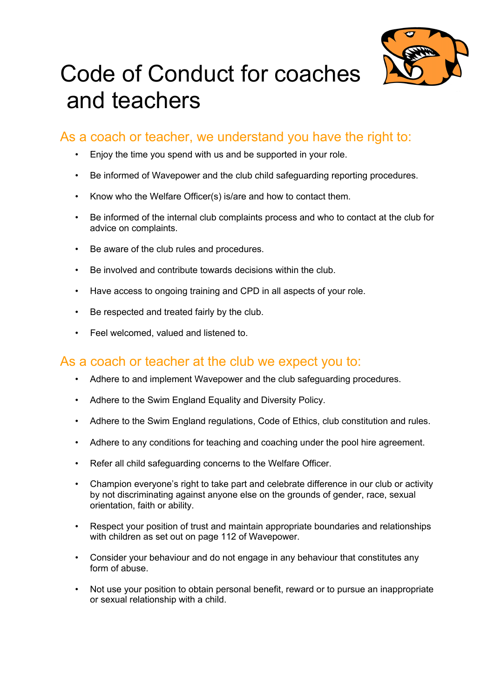

## Code of Conduct for coaches and teachers

## As a coach or teacher, we understand you have the right to:

- Enjoy the time you spend with us and be supported in your role.
- Be informed of Wavepower and the club child safeguarding reporting procedures.
- Know who the Welfare Officer(s) is/are and how to contact them.
- Be informed of the internal club complaints process and who to contact at the club for advice on complaints.
- Be aware of the club rules and procedures.
- Be involved and contribute towards decisions within the club.
- Have access to ongoing training and CPD in all aspects of your role.
- Be respected and treated fairly by the club.
- Feel welcomed, valued and listened to.

## As a coach or teacher at the club we expect you to:

- Adhere to and implement Wavepower and the club safeguarding procedures.
- Adhere to the Swim England Equality and Diversity Policy.
- Adhere to the Swim England regulations, Code of Ethics, club constitution and rules.
- Adhere to any conditions for teaching and coaching under the pool hire agreement.
- Refer all child safeguarding concerns to the Welfare Officer.
- Champion everyone's right to take part and celebrate difference in our club or activity by not discriminating against anyone else on the grounds of gender, race, sexual orientation, faith or ability.
- Respect your position of trust and maintain appropriate boundaries and relationships with children as set out on page 112 of Wavepower.
- Consider your behaviour and do not engage in any behaviour that constitutes any form of abuse.
- Not use your position to obtain personal benefit, reward or to pursue an inappropriate or sexual relationship with a child.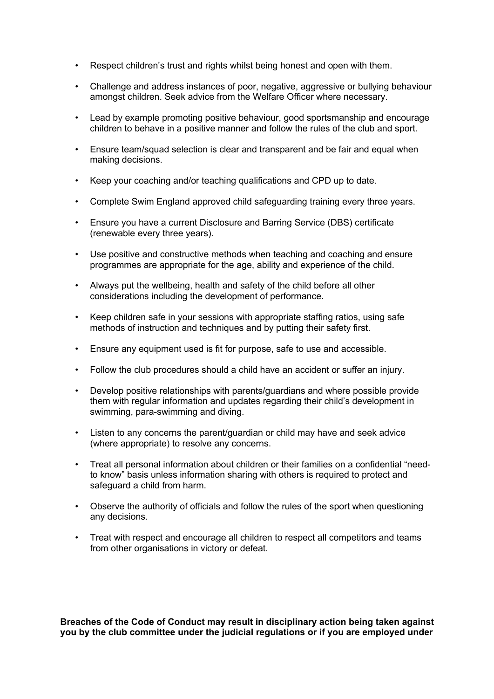- Respect children's trust and rights whilst being honest and open with them.
- Challenge and address instances of poor, negative, aggressive or bullying behaviour amongst children. Seek advice from the Welfare Officer where necessary.
- Lead by example promoting positive behaviour, good sportsmanship and encourage children to behave in a positive manner and follow the rules of the club and sport.
- Ensure team/squad selection is clear and transparent and be fair and equal when making decisions.
- Keep your coaching and/or teaching qualifications and CPD up to date.
- Complete Swim England approved child safeguarding training every three years.
- Ensure you have a current Disclosure and Barring Service (DBS) certificate (renewable every three years).
- Use positive and constructive methods when teaching and coaching and ensure programmes are appropriate for the age, ability and experience of the child.
- Always put the wellbeing, health and safety of the child before all other considerations including the development of performance.
- Keep children safe in your sessions with appropriate staffing ratios, using safe methods of instruction and techniques and by putting their safety first.
- Ensure any equipment used is fit for purpose, safe to use and accessible.
- Follow the club procedures should a child have an accident or suffer an injury.
- Develop positive relationships with parents/guardians and where possible provide them with regular information and updates regarding their child's development in swimming, para-swimming and diving.
- Listen to any concerns the parent/guardian or child may have and seek advice (where appropriate) to resolve any concerns.
- Treat all personal information about children or their families on a confidential "needto know" basis unless information sharing with others is required to protect and safeguard a child from harm.
- Observe the authority of officials and follow the rules of the sport when questioning any decisions.
- Treat with respect and encourage all children to respect all competitors and teams from other organisations in victory or defeat.

**Breaches of the Code of Conduct may result in disciplinary action being taken against you by the club committee under the judicial regulations or if you are employed under**